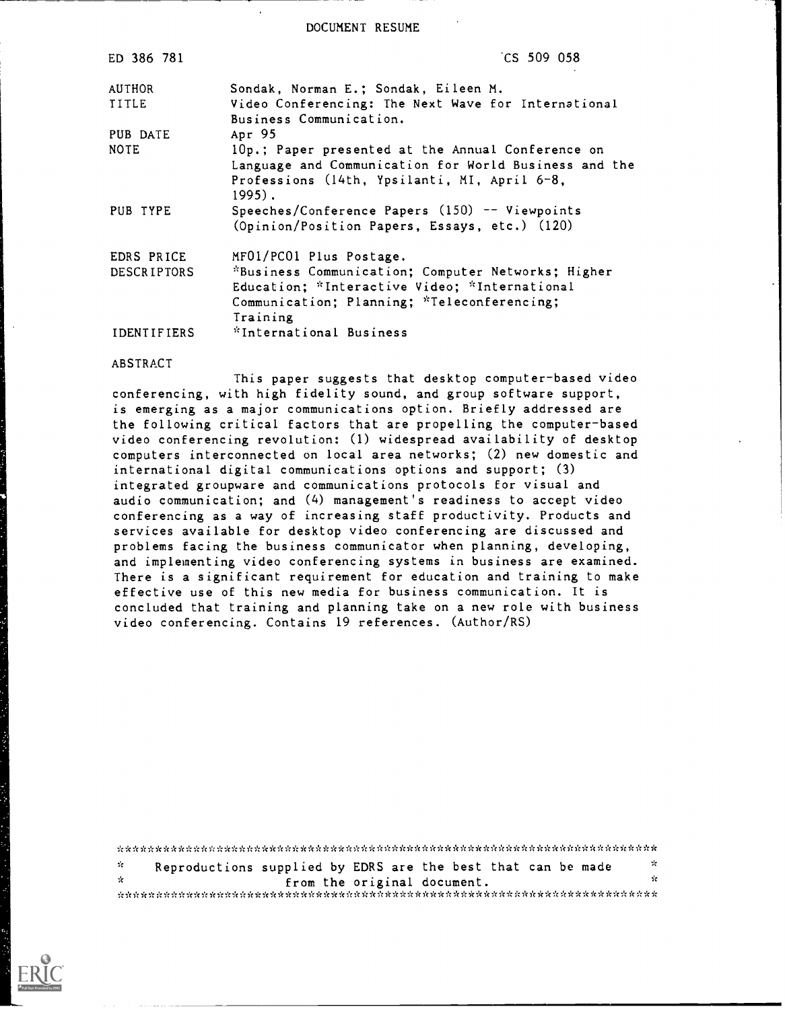DOCUMENT RESUME

| ED 386 781         | CS 509 058                                                                     |
|--------------------|--------------------------------------------------------------------------------|
| <b>AUTHOR</b>      | Sondak, Norman E.; Sondak, Eileen M.                                           |
| <b>TITLE</b>       | Video Conferencing: The Next Wave for International<br>Business Communication. |
| PUB DATE           | Apr 95                                                                         |
| <b>NOTE</b>        | 10p.; Paper presented at the Annual Conference on                              |
|                    | Language and Communication for World Business and the                          |
|                    | Professions (14th, Ypsilanti, MI, April 6-8,<br>$1995$ .                       |
| PUB TYPE           | Speeches/Conference Papers (150) -- Viewpoints                                 |
|                    | (Opinion/Position Papers, Essays, etc.) (120)                                  |
| EDRS PRICE         | MF01/PC01 Plus Postage.                                                        |
| <b>DESCRIPTORS</b> | *Business Communication; Computer Networks; Higher                             |
|                    | Education; *Interactive Video; *International                                  |
|                    | Communication; Planning; *Teleconferencing;<br>Training                        |
| IDENTIFIERS        | "International Business                                                        |

#### ABSTRACT

This paper suggests that desktop computer-based video conferencing, with high fidelity sound, and group software support, is emerging as a major communications option. Briefly addressed are the following critical factors that are propelling the computer-based video conferencing revolution: (I) widespread availability of desktop computers interconnected on local area networks; (2) new domestic and international digital communications options and support; (3) integrated groupware and communications protocols for visual and audio communication; and (4) management's readiness to accept video conferencing as a way of increasing staff productivity. Products and services available for desktop video conferencing are discussed and problems facing the business communicator when planning, developing, and implementing video conferencing systems in business are examined. There is a significant requirement for education and training to make effective use of this new media for business communication. It is concluded that training and planning take on a new role with business video conferencing. Contains 19 references. (Author/RS)

\* $\mathcal{R}$ Reproductions supplied by EDRS are the best that can be made  $\mathcal{L}_{\mathcal{C}}$ \* from the original document. \*\*\*\*\*\*\*\*\*\*\*\*\*\*\*\*\*\*\*\*\*\*\*\*\*\*\*\*\*\*\*\*\*\*\*\*\*\*\*\*\*\*\*\*\*\*\*\*\*\*\*\*\*\*\*\*\*\*\*\*\*\*\*\*\*\*\*\*\*\*\*

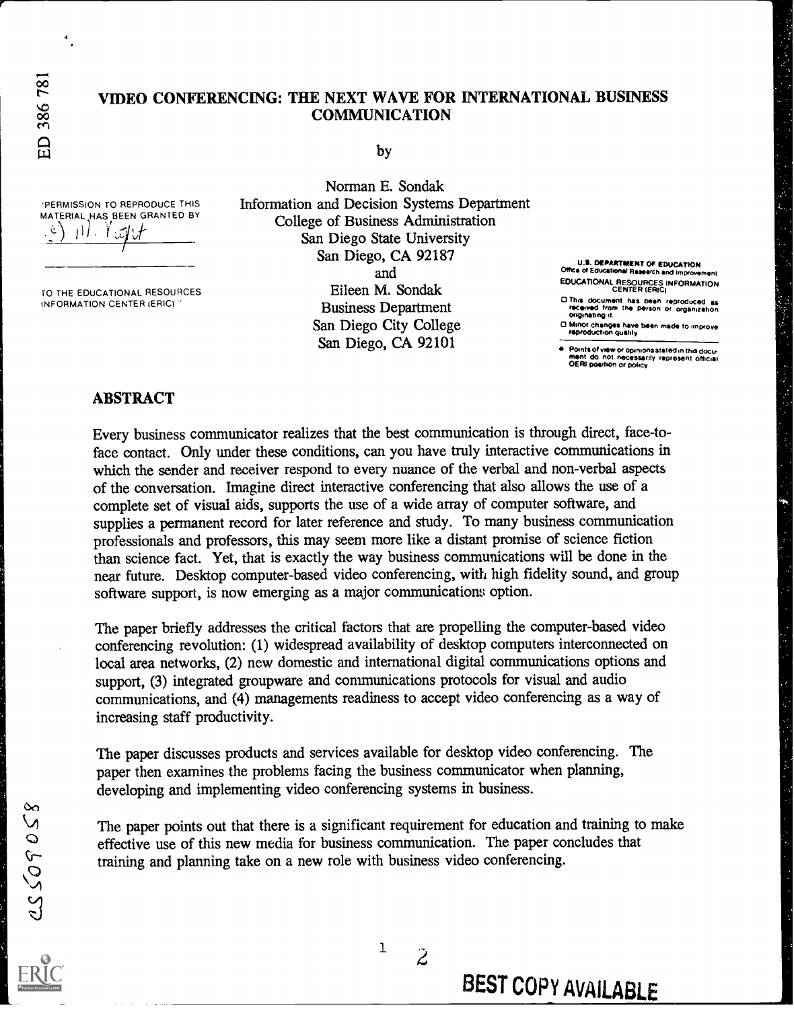ED 386 781

.4

# VIDEO CONFERENCING: THE NEXT WAVE FOR INTERNATIONAL BUSINESS COMMUNICATION

by

'PERMISSION TO REPRODUCE THIS MATERIAL HAS BEEN GRANTED BY  $\mathbb{R}^N \cdot \mathbb{Y}$  of  $\mathcal{F}$ 

TO THE EDUCATIONAL RESOURCES INFORMATION CENTER (ERIC)"

Norman E. Sondak Information and Decision Systems Department College of Business Administration San Diego State University San Diego, CA 92187 and Eileen M. Sondak Business Department San Diego City College

San Diego, CA 92101

U.S. DEPARTMENT OF EDUCATION<br>Office of Educational Research and improver EDUCATIONAL RESOURCES INFORMATION CENTER (ERIC) o Thrs document has been reproduced as received from the person or organozahon originating a

CI /Amor chericies have been made to umprove reprOduchon Quahly

Paints of wew or opinions stated in this docu-<br>ment do not necessarily represent official<br>OERI position or policy

#### ABSTRACT

Every business communicator realizes that the best communication is through direct, face-toface contact. Only under these conditions, can you have truly interactive communications in which the sender and receiver respond to every nuance of the verbal and non-verbal aspects of the conversation. Imagine direct interactive conferencing that also allows the use of a complete set of visual aids, supports the use of a wide array of computer software, and supplies a permanent record for later reference and study. To many business communication professionals and professors, this may seem more like a distant promise of science fiction than science fact. Yet, that is exactly the way business communications will be done in the near future. Desktop computer-based video conferencing, with high fidelity sound, and group software support, is now emerging as a major communications option.

The paper briefly addresses the critical factors that are propelling the computer-based video conferencing revolution: (1) widespread availability of desktop computers interconnected on local area networks, (2) new domestic and international digital communications options and support, (3) integrated groupware and communications protocols for visual and audio communications, and (4) managements readiness to accept video conferencing as a way of increasing staff productivity.

The paper discusses products and services available for desktop video conferencing. The paper then examines the problems facing the business communicator when planning, developing and implementing video conferencing systems in business.

The paper points out that there is a significant requirement for education and training to make effective use of this new media for business communication. The paper concludes that training and planning take on a new role with business video conferencing.

<sup>1</sup>  $\ddot{z}$ 

BEST COPY AVAILABLE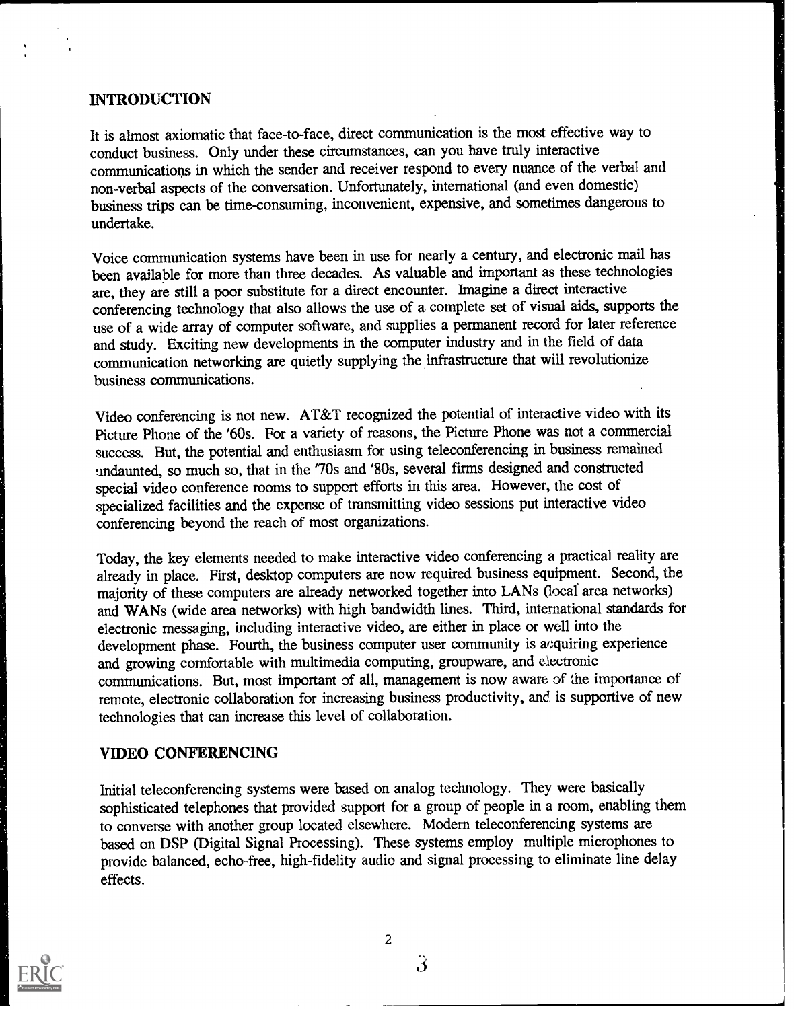## INTRODUCTION

It is almost axiomatic that face-to-face, direct communication is the most effective way to conduct business. Only under these circumstances, can you have truly interactive communications in which the sender and receiver respond to every nuance of the verbal and non-verbal aspects of the conversation. Unfortunately, international (and even domestic) business trips can be time-consuming, inconvenient, expensive, and sometimes dangerous to undertake.

**1** 

Voice communication systems have been in use for nearly a century, and electronic mail has been available for more than three decades. As valuable and important as these technologies are, they are still a poor substitute for a direct encounter. Imagine a direct interactive conferencing technology that also allows the use of a complete set of visual aids, supports the use of a wide array of computer software, and supplies a permanent record for later reference and study. Exciting new developments in the computer industry and in the field of data communication networking are quietly supplying the infrastructure that will revolutionize business communications.

Video conferencing is not new. AT&T recognized the potential of interactive video with its Picture Phone of the '60s. For a variety of reasons, the Picture Phone was not a commercial success. But, the potential and enthusiasm for using teleconferencing in business remained undaunted, so much so, that in the '70s and '80s, several firms designed and constructed special video conference rooms to support efforts in this area. However, the cost of specialized facilities and the expense of transmitting video sessions put interactive video conferencing beyond the reach of most organizations.

Today, the key elements needed to make interactive video conferencing a practical reality are already in place. First, desktop computers are now required business equipment. Second, the majority of these computers are already networked together into LANs (local area networks) and WANs (wide area networks) with high bandwidth lines. Third, international standards for electronic messaging, including interactive video, are either in place or well into the development phase. Fourth, the business computer user community is acquiring experience and growing comfortable with multimedia computing, groupware, and electronic communications. But, most important of all, management is now aware of the importance of remote, electronic collaboration for increasing business productivity, and is supportive of new technologies that can increase this level of collaboration.

## VIDEO CONFERENCING

Initial teleconferencing systems were based on analog technology. They were basically sophisticated telephones that provided support for a group of people in a room, enabling them to converse with another group located elsewhere. Modem teleconferencing systems are based on DSP (Digital Signal Processing). These systems employ multiple microphones to provide balanced, echo-free, high-fidelity audio and signal processing to eliminate line delay effects.



2

 $3 \sim 3$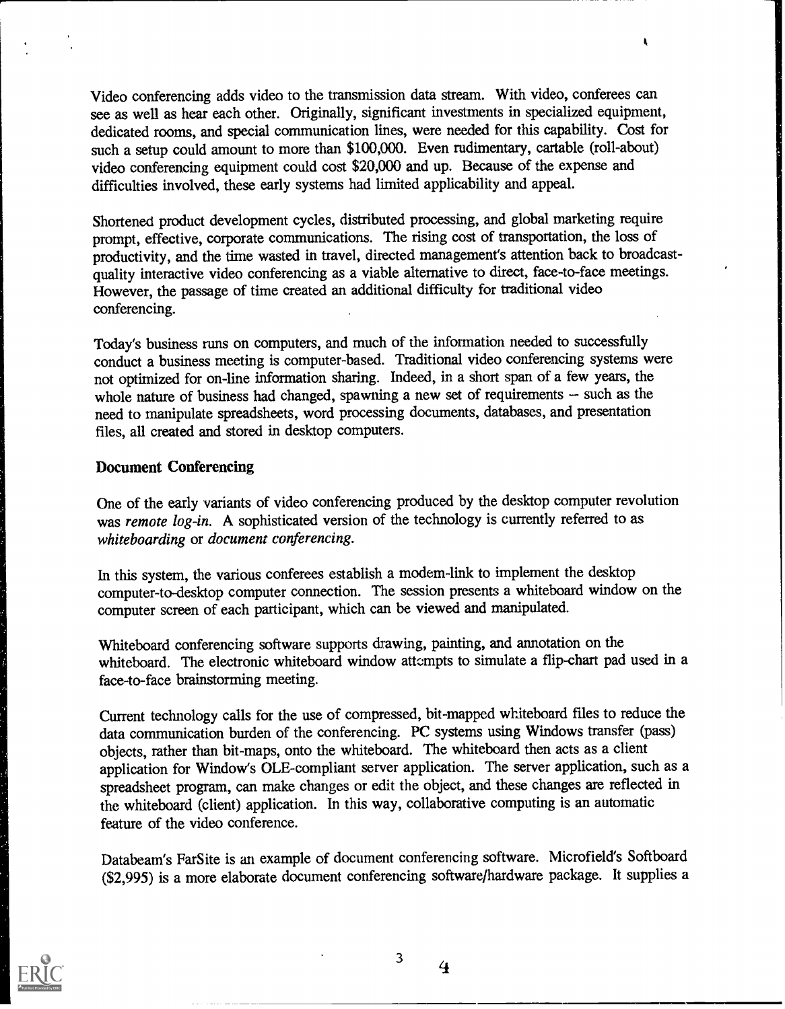Video conferencing adds video to the transmission data stream. With video, conferees can see as well as hear each other. Originally, significant investments in specialized equipment, dedicated rooms, and special communication lines, were needed for this capability. Cost for such a setup could amount to more than \$100,000. Even rudimentary, cartable (roll-about) video conferencing equipment could cost \$20,000 and up. Because of the expense and difficulties involved, these early systems had limited applicability and appeal.

 $\pmb{\xi}$ 

Shortened product development cycles, distributed processing, and global marketing require prompt, effective, corporate communications. The rising cost of transportation, the loss of productivity, and the time wasted in travel, directed management's attention back to broadcastquality interactive video conferencing as a viable alternative to direct, face-to-face meetings. However, the passage of time created an additional difficulty for traditional video conferencing.

Today's business runs on computers, and much of the information needed to successfully conduct a business meeting is computer-based. Traditional video conferencing systems were not optimized for on-line information sharing. Indeed, in a short span of a few years, the whole nature of business had changed, spawning a new set of requirements - such as the need to manipulate spreadsheets, word processing documents, databases, and presentation files, all created and stored in desktop computers.

#### Document Conferencing

One of the early variants of video conferencing produced by the desktop computer revolution was remote log-in. A sophisticated version of the technology is currently referred to as whiteboarding or document conferencing.

In this system, the various conferees establish a modem-link to implement the desktop computer-to-desktop computer connection. The session presents a whiteboard window on the computer screen of each participant, which can be viewed and manipulated.

Whiteboard conferencing software supports drawing, painting, and annotation on the whiteboard. The electronic whiteboard window attempts to simulate a flip-chart pad used in a face-to-face brainstorming meeting.

Current technology calls for the use of compressed, bit-mapped whiteboard files to reduce the data communication burden of the conferencing. PC systems using Windows transfer (pass) objects, rather than bit-maps, onto the whiteboard. The whiteboard then acts as a client application for Window's OLE-compliant server application. The server application, such as a spreadsheet program, can make changes or edit the object, and these changes are reflected in the whiteboard (client) application. In this way, collaborative computing is an automatic feature of the video conference.

Databeam's FarSite is an example of document conferencing software. Microfield's Softboard (\$2,995) is a more elaborate document conferencing software/hardware package. It supplies a



3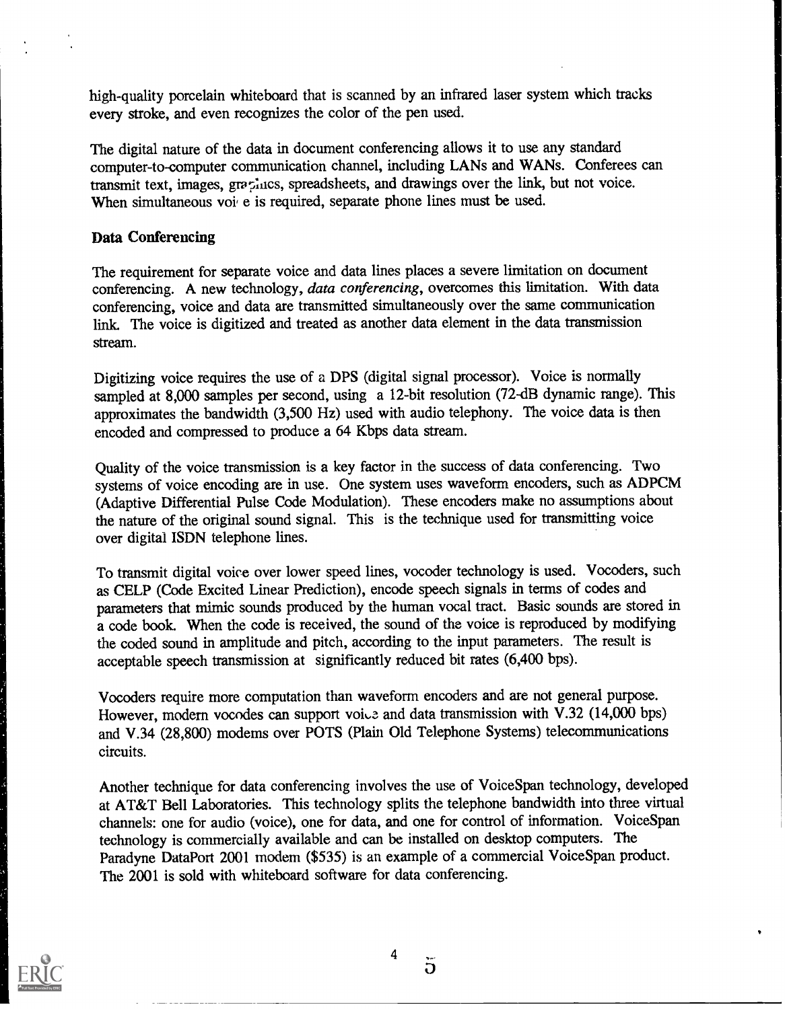high-quality porcelain whiteboard that is scanned by an infrared laser system which tracks every stroke, and even recognizes the color of the pen used.

The digital nature of the data in document conferencing allows it to use any standard computer-to-computer communication channel, including LANs and WANs. Conferees can transmit text, images, graphics, spreadsheets, and drawings over the link, but not voice. When simultaneous voi e is required, separate phone lines must be used.

#### Data Conferencing

The requirement for separate voice and data lines places a severe limitation on document conferencing. A new technology, data conferencing, overcomes this limitation. With data conferencing, voice and data are transmitted simultaneously over the same communication link. The voice is digitized and treated as another data element in the data transmission stream.

Digitizing voice requires the use of a DPS (digital signal processor). Voice is normally sampled at 8,000 samples per second, using a 12-bit resolution (72-dB dynamic range). This approximates the bandwidth (3,500 Hz) used with audio telephony. The voice data is then encoded and compressed to produce a 64 Kbps data stream.

Quality of the voice transmission is a key factor in the success of data conferencing. Two systems of voice encoding are in use. One system uses waveform encoders, such as ADPCM (Adaptive Differential Pulse Code Modulation). These encoders make no assumptions about the nature of the original sound signal. This is the technique used for transmitting voice over digital ISDN telephone lines.

To transmit digital voice over lower speed lines, vocoder technology is used. Vocoders, such as CELP (Code Excited Linear Prediction), encode speech signals in terms of codes and parameters that mimic sounds produced by the human vocal tract. Basic sounds are stored in a code book. When the code is received, the sound of the voice is reproduced by modifying the coded sound in amplitude and pitch, according to the input parameters. The result is acceptable speech transmission at significantly reduced bit rates (6,400 bps).

Vocoders require more computation than waveform encoders and are not general purpose. However, modern vocodes can support voice and data transmission with V.32 (14,000 bps) and V.34 (28,800) modems over POTS (Plain Old Telephone Systems) telecommunications circuits.

Another technique for data conferencing involves the use of Voice Span technology, developed at AT&T Bell Laboratories. This technology splits the telephone bandwidth into three virtual channels: one for audio (voice), one for data, and one for control of information. VoiceSpan technology is commercially available and can be installed on desktop computers. The Paradyne DataPort 2001 modem (\$535) is an example of a commercial VoiceSpan product. The 2001 is sold with whiteboard software for data conferencing.



4

 $\overline{5}$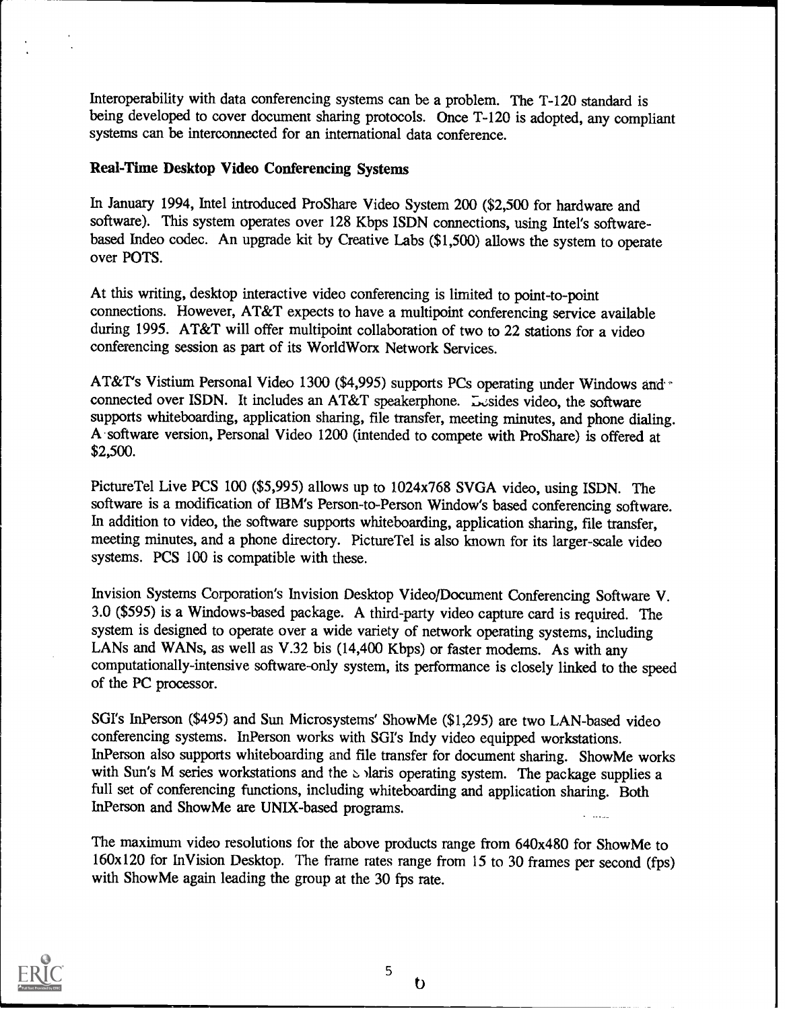Interoperability with data conferencing systems can be a problem. The T-120 standard is being developed to cover document sharing protocols. Once T-120 is adopted, any compliant systems can be interconnected for an international data conference.

#### Real-Time Desktop Video Conferencing Systems

In January 1994, Intel introduced ProShare Video System 200 (\$2,500 for hardware and software). This system operates over 128 Kbps ISDN connections, using Intel's softwarebased Indeo codec. An upgrade kit by Creative Labs (\$1,500) allows the system to operate over POTS.

At this writing, desktop interactive video conferencing is limited to point-to-point connections. However, AT&T expects to have a multipoint conferencing service available during 1995. AT&T will offer multipoint collaboration of two to 22 stations for a video conferencing session as part of its WorldWorx Network Services.

AT&T's Vistium Personal Video 1300 (\$4,995) supports PCs operating under Windows and connected over ISDN. It includes an AT&T speakerphone. Lesides video, the software supports whiteboarding, application sharing, file transfer, meeting minutes, and phone dialing. A -software version, Personal Video 1200 (intended to compete with ProShare) is offered at \$2,500.

PictureTel Live PCS 100 (\$5,995) allows up to 1024x768 SVGA video, using ISDN. The software is a modification of IBM's Person-to-Person Window's based conferencing software. In addition to video, the software supports whiteboarding, application sharing, file transfer, meeting minutes, and a phone directory. PictureTel is also known for its larger-scale video systems. PCS 100 is compatible with these.

Invision Systems Corporation's Invision Desktop Video/Document Conferencing Software V. 3.0 (\$595) is a Windows-based package. A third-party video capture card is required. The system is designed to operate over a wide variety of network operating systems, including LANs and WANs, as well as V.32 bis (14,400 Kbps) or faster modems. As with any computationally-intensive software-only system, its performance is closely linked to the speed of the PC processor.

SGI's InPerson (\$495) and Sun Microsystems' ShowMe (\$1,295) are two LAN-based video conferencing systems. InPerson works with SGI's Indy video equipped workstations. InPerson also supports whiteboarding and file transfer for document sharing. ShowMe works with Sun's M series workstations and the  $\triangle$  )laris operating system. The package supplies a full set of conferencing functions, including whiteboarding and application sharing. Both InPerson and ShowMe are UNIX-based programs.

The maximum video resolutions for the above products range from 640x480 for ShowMe to 160x120 for InVision Desktop. The frame rates range from 15 to 30 frames per second (fps) with ShowMe again leading the group at the 30 fps rate.



 $\mathbf b$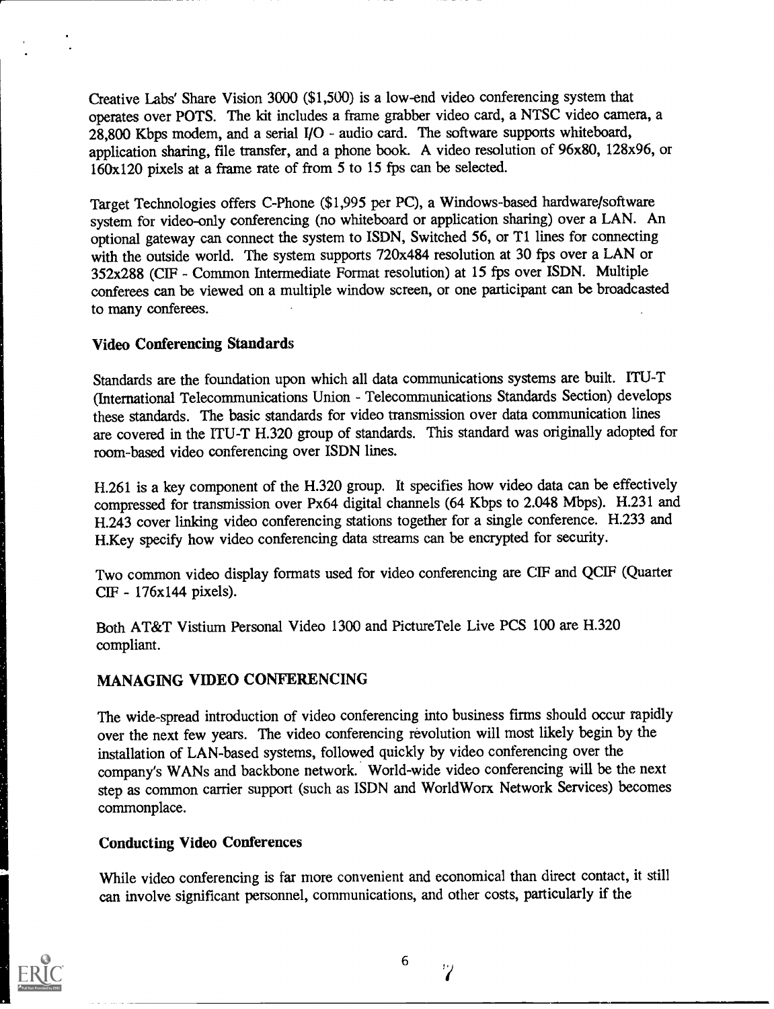Creative Labs' Share Vision 3000 (\$1,500) is a low-end video conferencing system that operates over POTS. The kit includes a frame grabber video card, a NTSC video camera, a  $28,800$  Kbps modem, and a serial I/O - audio card. The software supports whiteboard, application sharing, file transfer, and a phone book. A video resolution of 96x80, 128x96, or 160x120 pixels at a frame rate of from 5 to 15 fps can be selected.

Target Technologies offers C-Phone (\$1,995 per PC), a Windows-based hardware/software system for video-only conferencing (no whiteboard or application sharing) over a LAN. An optional gateway can connect the system to ISDN, Switched 56, or T1 lines for connecting with the outside world. The system supports 720x484 resolution at 30 fps over a LAN or 352x288 (CIF - Common Intermediate Format resolution) at 15 fps over ISDN. Multiple conferees can be viewed on a multiple window screen, or one participant can be broadcasted to many conferees.

#### Video Conferencing Standards

Standards are the foundation upon which all data communications systems are built. ITU-T (International Telecommunications Union - Telecommunications Standards Section) develops these standards. The basic standards for video transmission over data communication lines are covered in the ITU-T H.320 group of standards. This standard was originally adopted for room-based video conferencing over ISDN lines.

H.261 is a key component of the H.320 group. It specifies how video data can be effectively compressed for transmission over Px64 digital channels (64 Kbps to 2.048 Mbps). H.231 and H.243 cover linking video conferencing stations together for a single conference. H.233 and H.Key specify how video conferencing data streams can be encrypted for security.

Two common video display formats used for video conferencing are CIF and QCIF (Quarter CIF - 176x144 pixels).

Both AT&T Vistium Personal Video 1300 and Picture Tele Live PCS 100 are H.320 compliant.

# MANAGING VIDEO CONFERENCING

The wide-spread introduction of video conferencing into business firms should occur rapidly over the next few years. The video conferencing revolution will most likely begin by the installation of LAN-based systems, followed quickly by video conferencing over the company's WANs and backbone network. World-wide video conferencing will be the next step as common carrier support (such as ISDN and WorldWorx Network Services) becomes commonplace.

## Conducting Video Conferences

While video conferencing is far more convenient and economical than direct contact, it still can involve significant personnel, communications, and other costs, particularly if the

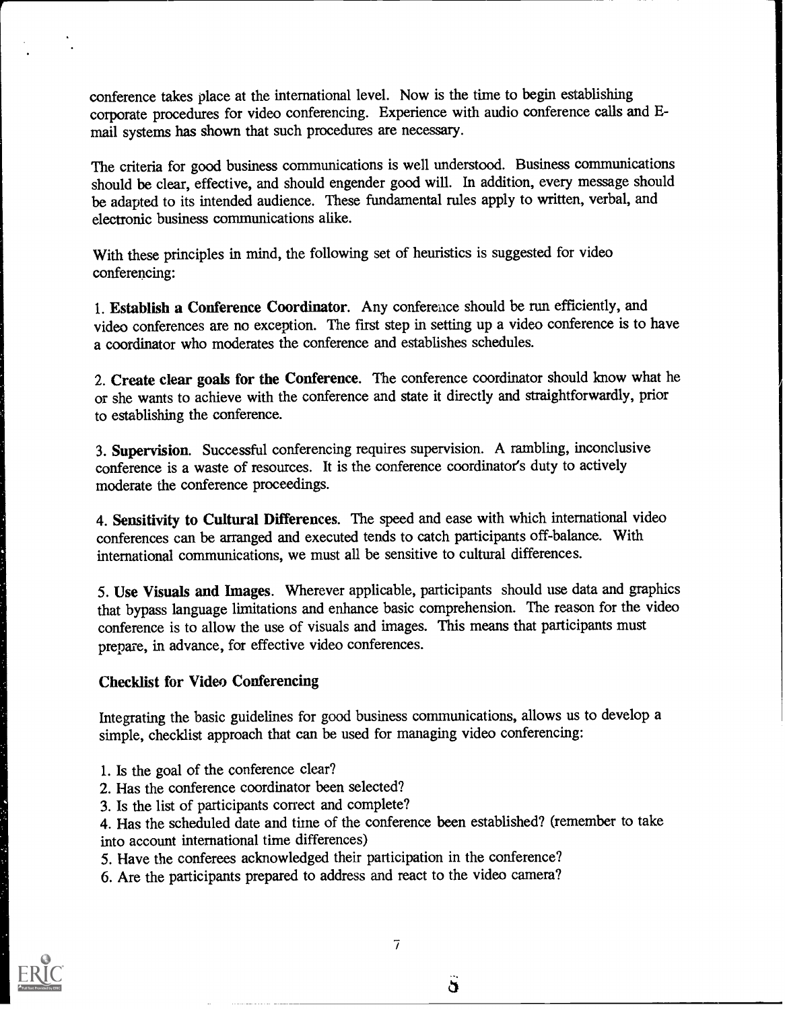conference takes place at the international level. Now is the time to begin establishing corporate procedures for video conferencing. Experience with audio conference calls and Email systems has shown that such procedures are necessary.

The criteria for good business communications is well understood. Business communications should be clear, effective, and should engender good will. In addition, every message should be adapted to its intended audience. These fundamental rules apply to written, verbal, and electronic business communications alike.

With these principles in mind, the following set of heuristics is suggested for video conferencing:

1. Establish a Conference Coordinator. Any conference should be run efficiently, and video conferences are no exception. The first step in setting up a video conference is to have a coordinator who moderates the conference and establishes schedules.

2. Create clear goals for the Conference. The conference coordinator should know what he or she wants to achieve with the conference and state it directly and straightforwardly, prior to establishing the conference.

3. Supervision. Successful conferencing requires supervision. A rambling, inconclusive conference is a waste of resources. It is the conference coordinator's duty to actively moderate the conference proceedings.

4. Sensitivity to Cultural Differences. The speed and ease with which international video conferences can be arranged and executed tends to catch participants off-balance. With international communications, we must all be sensitive to cultural differences.

5. Use Visuals and Images. Wherever applicable, participants should use data and graphics that bypass language limitations and enhance basic comprehension. The reason for the video conference is to allow the use of visuals and images. This means that participants must prepare, in advance, for effective video conferences.

#### Checklist for Video Conferencing

Integrating the basic guidelines for good business communications, allows us to develop a simple, checklist approach that can be used for managing video conferencing:

- 1. Is the goal of the conference clear?
- 2. Has the conference coordinator been selected?
- 3. Is the list of participants correct and complete?

4. Has the scheduled date and time of the conference been established? (remember to take into account international time differences)

5. Have the conferees acknowledged their participation in the conference?

6. Are the participants prepared to address and react to the video camera?



 $\Delta$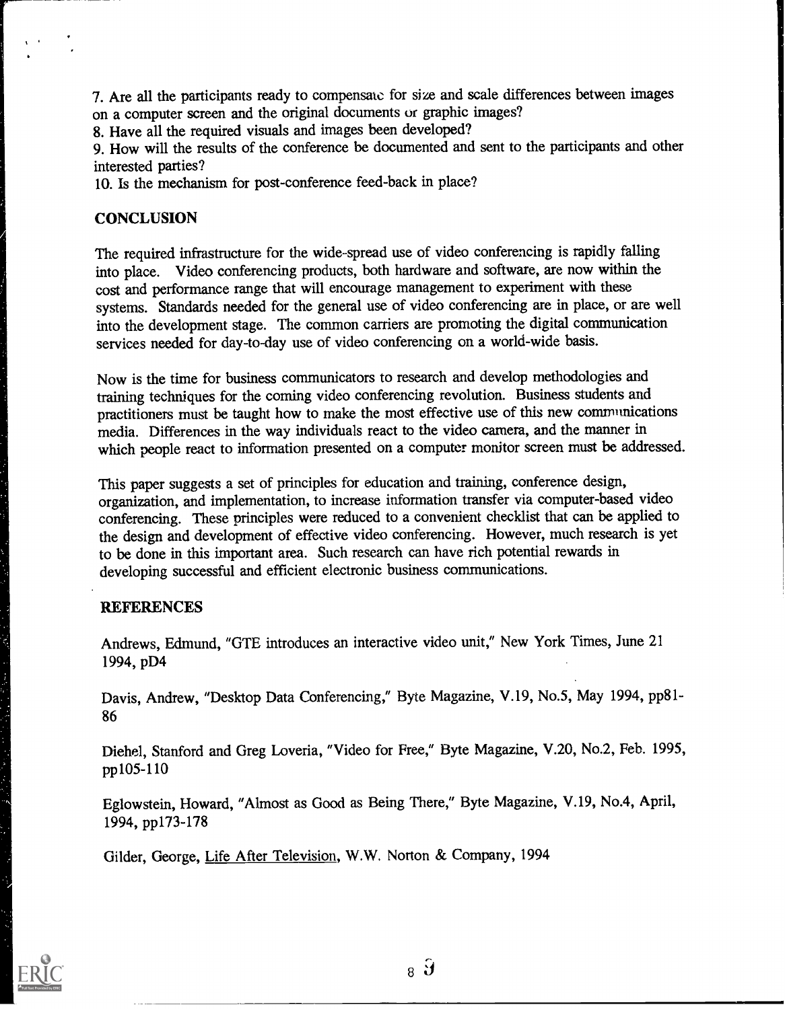7. Are all the participants ready to compensate for size and scale differences between images on a computer screen and the original documents or graphic images?

8. Have all the required visuals and images been developed?

9. How will the results of the conference be documented and sent to the participants and other interested parties?

10. Is the mechanism for post-conference feed-back in place?

## **CONCLUSION**

The required infrastructure for the wide-spread use of video conferencing is rapidly falling into place. Video conferencing products, both hardware and software, are now within the cost and performance range that will encourage management to experiment with these systems. Standards needed for the general use of video conferencing are in place, or are well into the development stage. The common carriers are promoting the digital communication services needed for day-to-day use of video conferencing on a world-wide basis.

Now is the time for business communicators to research and develop methodologies and training techniques for the coming video conferencing revolution. Business students and practitioners must be taught how to make the most effective use of this new communications media. Differences in the way individuals react to the video camera, and the manner in which people react to information presented on a computer monitor screen must be addressed.

This paper suggests a set of principles for education and training, conference design, organization, and implementation, to increase information transfer via computer-based video conferencing. These principles were reduced to a convenient checklist that can be applied to the design and development of effective video conferencing. However, much research is yet to be done in this important area. Such research can have rich potential rewards in developing successful and efficient electronic business communications.

## **REFERENCES**

Andrews, Edmund, "GTE introduces an interactive video unit," New York Times, June 21 1994, pD4

Davis, Andrew, "Desktop Data Conferencing," Byte Magazine, V.19, No.5, May 1994, pp81- 86

Diehel, Stanford and Greg Loveria, "Video for Free," Byte Magazine, V.20, No.2, Feb. 1995, pp105-110

Eglowstein, Howard, "Almost as Good as Being There," Byte Magazine, V.19, No.4, April, 1994, pp173-178

Gilder, George, Life After Television, W.W. Norton & Company, 1994